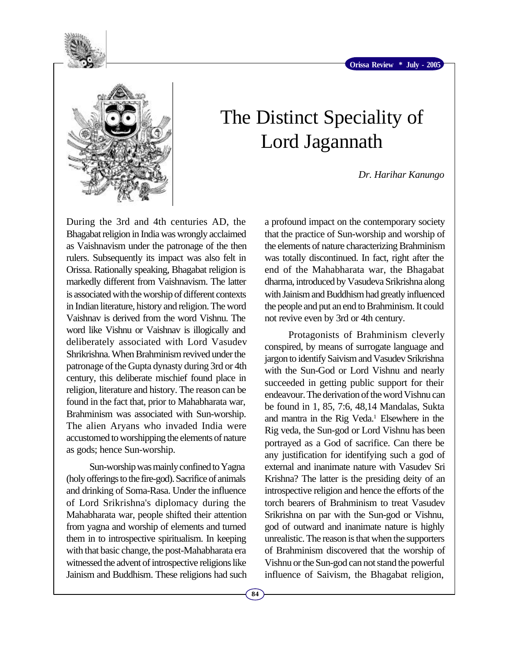



## The Distinct Speciality of Lord Jagannath

*Dr. Harihar Kanungo*

During the 3rd and 4th centuries AD, the Bhagabat religion in India was wrongly acclaimed as Vaishnavism under the patronage of the then rulers. Subsequently its impact was also felt in Orissa. Rationally speaking, Bhagabat religion is markedly different from Vaishnavism. The latter is associated with the worship of different contexts in Indian literature, history and religion. The word Vaishnav is derived from the word Vishnu. The word like Vishnu or Vaishnav is illogically and deliberately associated with Lord Vasudev Shrikrishna. When Brahminism revived under the patronage of the Gupta dynasty during 3rd or 4th century, this deliberate mischief found place in religion, literature and history. The reason can be found in the fact that, prior to Mahabharata war, Brahminism was associated with Sun-worship. The alien Aryans who invaded India were accustomed to worshipping the elements of nature as gods; hence Sun-worship.

Sun-worship was mainly confined to Yagna (holy offerings to the fire-god). Sacrifice of animals and drinking of Soma-Rasa. Under the influence of Lord Srikrishna's diplomacy during the Mahabharata war, people shifted their attention from yagna and worship of elements and turned them in to introspective spiritualism. In keeping with that basic change, the post-Mahabharata era witnessed the advent of introspective religions like Jainism and Buddhism. These religions had such

a profound impact on the contemporary society that the practice of Sun-worship and worship of the elements of nature characterizing Brahminism was totally discontinued. In fact, right after the end of the Mahabharata war, the Bhagabat dharma, introduced by Vasudeva Srikrishna along with Jainism and Buddhism had greatly influenced the people and put an end to Brahminism. It could not revive even by 3rd or 4th century.

Protagonists of Brahminism cleverly conspired, by means of surrogate language and jargon to identify Saivism and Vasudev Srikrishna with the Sun-God or Lord Vishnu and nearly succeeded in getting public support for their endeavour. The derivation of the word Vishnu can be found in 1, 85, 7:6, 48,14 Mandalas, Sukta and mantra in the Rig Veda.<sup>1</sup> Elsewhere in the Rig veda, the Sun-god or Lord Vishnu has been portrayed as a God of sacrifice. Can there be any justification for identifying such a god of external and inanimate nature with Vasudev Sri Krishna? The latter is the presiding deity of an introspective religion and hence the efforts of the torch bearers of Brahminism to treat Vasudev Srikrishna on par with the Sun-god or Vishnu, god of outward and inanimate nature is highly unrealistic. The reason is that when the supporters of Brahminism discovered that the worship of Vishnu or the Sun-god can not stand the powerful influence of Saivism, the Bhagabat religion,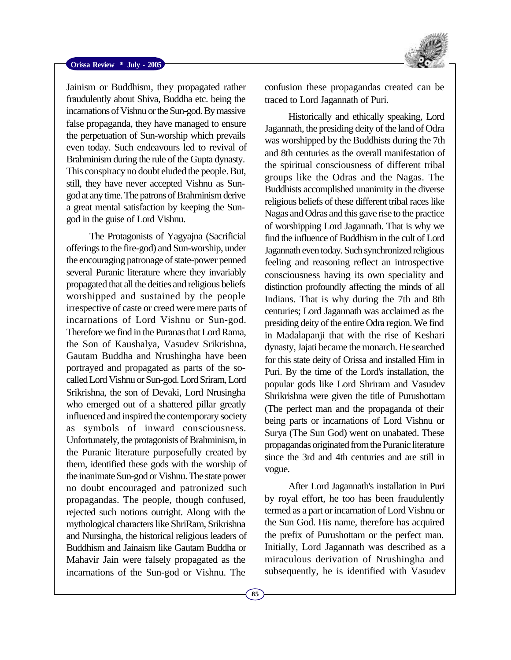Jainism or Buddhism, they propagated rather fraudulently about Shiva, Buddha etc. being the incarnations of Vishnu or the Sun-god. By massive false propaganda, they have managed to ensure the perpetuation of Sun-worship which prevails even today. Such endeavours led to revival of Brahminism during the rule of the Gupta dynasty. This conspiracy no doubt eluded the people. But, still, they have never accepted Vishnu as Sungod at any time. The patrons of Brahminism derive a great mental satisfaction by keeping the Sungod in the guise of Lord Vishnu.

The Protagonists of Yagyajna (Sacrificial offerings to the fire-god) and Sun-worship, under the encouraging patronage of state-power penned several Puranic literature where they invariably propagated that all the deities and religious beliefs worshipped and sustained by the people irrespective of caste or creed were mere parts of incarnations of Lord Vishnu or Sun-god. Therefore we find in the Puranas that Lord Rama, the Son of Kaushalya, Vasudev Srikrishna, Gautam Buddha and Nrushingha have been portrayed and propagated as parts of the socalled Lord Vishnu or Sun-god. Lord Sriram, Lord Srikrishna, the son of Devaki, Lord Nrusingha who emerged out of a shattered pillar greatly influenced and inspired the contemporary society as symbols of inward consciousness. Unfortunately, the protagonists of Brahminism, in the Puranic literature purposefully created by them, identified these gods with the worship of the inanimate Sun-god or Vishnu. The state power no doubt encouraged and patronized such propagandas. The people, though confused, rejected such notions outright. Along with the mythological characters like ShriRam, Srikrishna and Nursingha, the historical religious leaders of Buddhism and Jainaism like Gautam Buddha or Mahavir Jain were falsely propagated as the incarnations of the Sun-god or Vishnu. The



confusion these propagandas created can be traced to Lord Jagannath of Puri.

Historically and ethically speaking, Lord Jagannath, the presiding deity of the land of Odra was worshipped by the Buddhists during the 7th and 8th centuries as the overall manifestation of the spiritual consciousness of different tribal groups like the Odras and the Nagas. The Buddhists accomplished unanimity in the diverse religious beliefs of these different tribal races like Nagas and Odras and this gave rise to the practice of worshipping Lord Jagannath. That is why we find the influence of Buddhism in the cult of Lord Jagannath even today. Such synchronized religious feeling and reasoning reflect an introspective consciousness having its own speciality and distinction profoundly affecting the minds of all Indians. That is why during the 7th and 8th centuries; Lord Jagannath was acclaimed as the presiding deity of the entire Odra region. We find in Madalapanji that with the rise of Keshari dynasty, Jajati became the monarch. He searched for this state deity of Orissa and installed Him in Puri. By the time of the Lord's installation, the popular gods like Lord Shriram and Vasudev Shrikrishna were given the title of Purushottam (The perfect man and the propaganda of their being parts or incarnations of Lord Vishnu or Surya (The Sun God) went on unabated. These propagandas originated from the Puranic literature since the 3rd and 4th centuries and are still in vogue.

After Lord Jagannath's installation in Puri by royal effort, he too has been fraudulently termed as a part or incarnation of Lord Vishnu or the Sun God. His name, therefore has acquired the prefix of Purushottam or the perfect man. Initially, Lord Jagannath was described as a miraculous derivation of Nrushingha and subsequently, he is identified with Vasudev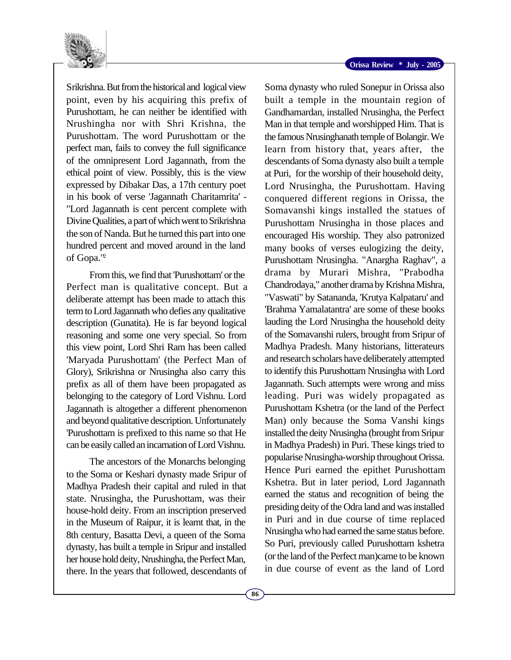

Srikrishna. But from the historical and logical view point, even by his acquiring this prefix of Purushottam, he can neither be identified with Nrushingha nor with Shri Krishna, the Purushottam. The word Purushottam or the perfect man, fails to convey the full significance of the omnipresent Lord Jagannath, from the ethical point of view. Possibly, this is the view expressed by Dibakar Das, a 17th century poet in his book of verse 'Jagannath Charitamrita' - "Lord Jagannath is cent percent complete with Divine Qualities, a part of which went to Srikrishna the son of Nanda. But he turned this part into one hundred percent and moved around in the land of Gopa."<sup>2</sup>

From this, we find that 'Purushottam' or the Perfect man is qualitative concept. But a deliberate attempt has been made to attach this term to Lord Jagannath who defies any qualitative description (Gunatita). He is far beyond logical reasoning and some one very special. So from this view point, Lord Shri Ram has been called 'Maryada Purushottam' (the Perfect Man of Glory), Srikrishna or Nrusingha also carry this prefix as all of them have been propagated as belonging to the category of Lord Vishnu. Lord Jagannath is altogether a different phenomenon and beyond qualitative description. Unfortunately 'Purushottam is prefixed to this name so that He can be easily called an incarnation of Lord Vishnu.

The ancestors of the Monarchs belonging to the Soma or Keshari dynasty made Sripur of Madhya Pradesh their capital and ruled in that state. Nrusingha, the Purushottam, was their house-hold deity. From an inscription preserved in the Museum of Raipur, it is learnt that, in the 8th century, Basatta Devi, a queen of the Soma dynasty, has built a temple in Sripur and installed her house hold deity, Nrushingha, the Perfect Man, there. In the years that followed, descendants of

Soma dynasty who ruled Sonepur in Orissa also built a temple in the mountain region of Gandhamardan, installed Nrusingha, the Perfect Man in that temple and worshipped Him. That is the famous Nrusinghanath temple of Bolangir. We learn from history that, years after, the descendants of Soma dynasty also built a temple at Puri, for the worship of their household deity, Lord Nrusingha, the Purushottam. Having conquered different regions in Orissa, the Somavanshi kings installed the statues of Purushottam Nrusingha in those places and encouraged His worship. They also patronized many books of verses eulogizing the deity, Purushottam Nrusingha. "Anargha Raghav", a drama by Murari Mishra, "Prabodha Chandrodaya," another drama by Krishna Mishra, "Vaswati" by Satananda, 'Krutya Kalpataru' and 'Brahma Yamalatantra' are some of these books lauding the Lord Nrusingha the household deity of the Somavanshi rulers, brought from Sripur of Madhya Pradesh. Many historians, litterateurs and research scholars have deliberately attempted to identify this Purushottam Nrusingha with Lord Jagannath. Such attempts were wrong and miss leading. Puri was widely propagated as Purushottam Kshetra (or the land of the Perfect Man) only because the Soma Vanshi kings installed the deity Nrusingha (brought from Sripur in Madhya Pradesh) in Puri. These kings tried to popularise Nrusingha-worship throughout Orissa. Hence Puri earned the epithet Purushottam Kshetra. But in later period, Lord Jagannath earned the status and recognition of being the presiding deity of the Odra land and was installed in Puri and in due course of time replaced Nrusingha who had earned the same status before. So Puri, previously called Purushottam kshetra (or the land of the Perfect man)came to be known in due course of event as the land of Lord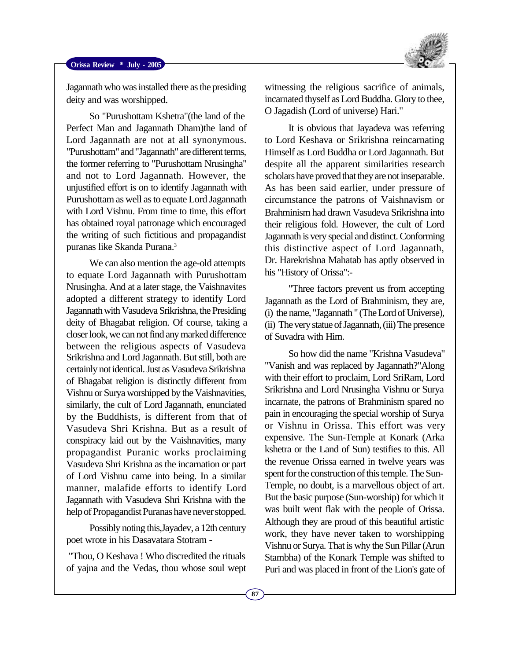

Jagannath who was installed there as the presiding deity and was worshipped.

So "Purushottam Kshetra"(the land of the Perfect Man and Jagannath Dham)the land of Lord Jagannath are not at all synonymous. "Purushottam" and "Jagannath" are different terms, the former referring to "Purushottam Nrusingha" and not to Lord Jagannath. However, the unjustified effort is on to identify Jagannath with Purushottam as well as to equate Lord Jagannath with Lord Vishnu. From time to time, this effort has obtained royal patronage which encouraged the writing of such fictitious and propagandist puranas like Skanda Purana.<sup>3</sup>

We can also mention the age-old attempts to equate Lord Jagannath with Purushottam Nrusingha. And at a later stage, the Vaishnavites adopted a different strategy to identify Lord Jagannath with Vasudeva Srikrishna, the Presiding deity of Bhagabat religion. Of course, taking a closer look, we can not find any marked difference between the religious aspects of Vasudeva Srikrishna and Lord Jagannath. But still, both are certainly not identical. Just as Vasudeva Srikrishna of Bhagabat religion is distinctly different from Vishnu or Surya worshipped by the Vaishnavities, similarly, the cult of Lord Jagannath, enunciated by the Buddhists, is different from that of Vasudeva Shri Krishna. But as a result of conspiracy laid out by the Vaishnavities, many propagandist Puranic works proclaiming Vasudeva Shri Krishna as the incarnation or part of Lord Vishnu came into being. In a similar manner, malafide efforts to identify Lord Jagannath with Vasudeva Shri Krishna with the help of Propagandist Puranas have never stopped.

Possibly noting this,Jayadev, a 12th century poet wrote in his Dasavatara Stotram -

 "Thou, O Keshava ! Who discredited the rituals of yajna and the Vedas, thou whose soul wept

witnessing the religious sacrifice of animals, incarnated thyself as Lord Buddha. Glory to thee, O Jagadish (Lord of universe) Hari."

It is obvious that Jayadeva was referring to Lord Keshava or Srikrishna reincarnating Himself as Lord Buddha or Lord Jagannath. But despite all the apparent similarities research scholars have proved that they are not inseparable. As has been said earlier, under pressure of circumstance the patrons of Vaishnavism or Brahminism had drawn Vasudeva Srikrishna into their religious fold. However, the cult of Lord Jagannath is very special and distinct. Conforming this distinctive aspect of Lord Jagannath, Dr. Harekrishna Mahatab has aptly observed in his "History of Orissa":-

"Three factors prevent us from accepting Jagannath as the Lord of Brahminism, they are, (i) the name, "Jagannath " (The Lord of Universe), (ii) The very statue of Jagannath, (iii) The presence of Suvadra with Him.

So how did the name "Krishna Vasudeva" "Vanish and was replaced by Jagannath?"Along with their effort to proclaim, Lord SriRam, Lord Srikrishna and Lord Nrusingha Vishnu or Surya incarnate, the patrons of Brahminism spared no pain in encouraging the special worship of Surya or Vishnu in Orissa. This effort was very expensive. The Sun-Temple at Konark (Arka kshetra or the Land of Sun) testifies to this. All the revenue Orissa earned in twelve years was spent for the construction of this temple. The Sun-Temple, no doubt, is a marvellous object of art. But the basic purpose (Sun-worship) for which it was built went flak with the people of Orissa. Although they are proud of this beautiful artistic work, they have never taken to worshipping Vishnu or Surya. That is why the Sun Pillar (Arun Stambha) of the Konark Temple was shifted to Puri and was placed in front of the Lion's gate of